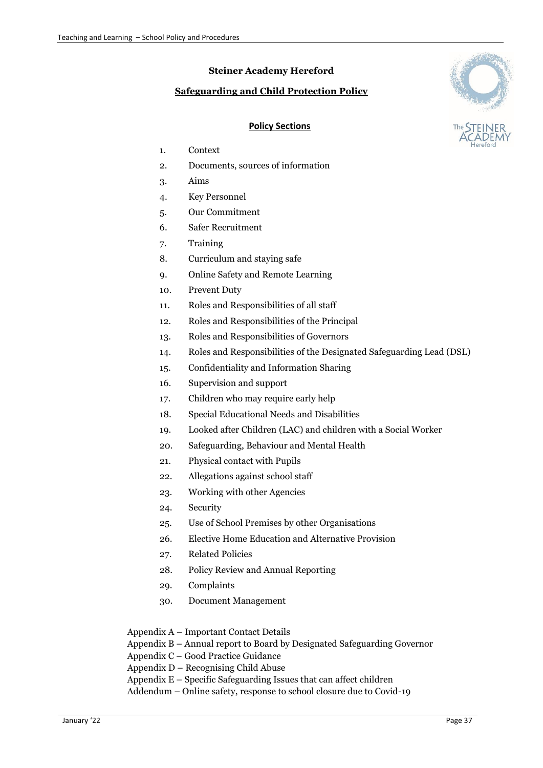# **Steiner Academy Hereford**

# **Safeguarding and Child Protection Policy**



### **Policy Sections**

- 1. Context
- 2. Documents, sources of information
- 3. Aims
- 4. Key Personnel
- 5. Our Commitment
- 6. Safer Recruitment
- 7. Training
- 8. Curriculum and staying safe
- 9. Online Safety and Remote Learning
- 10. Prevent Duty
- 11. Roles and Responsibilities of all staff
- 12. Roles and Responsibilities of the Principal
- 13. Roles and Responsibilities of Governors
- 14. Roles and Responsibilities of the Designated Safeguarding Lead (DSL)
- 15. Confidentiality and Information Sharing
- 16. Supervision and support
- 17. Children who may require early help
- 18. Special Educational Needs and Disabilities
- 19. Looked after Children (LAC) and children with a Social Worker
- 20. Safeguarding, Behaviour and Mental Health
- 21. Physical contact with Pupils
- 22. Allegations against school staff
- 23. Working with other Agencies
- 24. Security
- 25. Use of School Premises by other Organisations
- 26. Elective Home Education and Alternative Provision
- 27. Related Policies
- 28. Policy Review and Annual Reporting
- 29. Complaints
- 30. Document Management

Appendix A – Important Contact Details

Appendix B – Annual report to Board by Designated Safeguarding Governor

Appendix C – Good Practice Guidance

Appendix D – Recognising Child Abuse

Appendix  $E -$  Specific Safeguarding Issues that can affect children

Addendum – Online safety, response to school closure due to Covid-19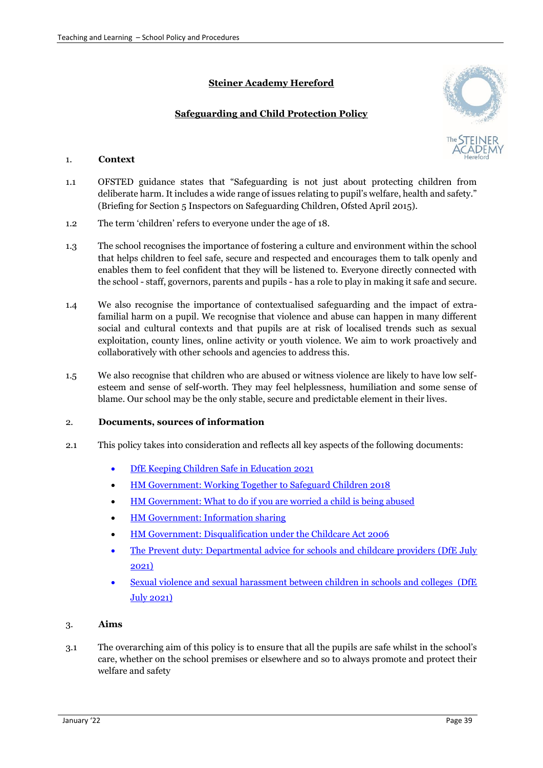# **Steiner Academy Hereford**

# **Safeguarding and Child Protection Policy**



### 1. **Context**

- 1.1 OFSTED guidance states that "Safeguarding is not just about protecting children from deliberate harm. It includes a wide range of issues relating to pupil's welfare, health and safety." (Briefing for Section 5 Inspectors on Safeguarding Children, Ofsted April 2015).
- 1.2 The term 'children' refers to everyone under the age of 18.
- 1.3 The school recognises the importance of fostering a culture and environment within the school that helps children to feel safe, secure and respected and encourages them to talk openly and enables them to feel confident that they will be listened to. Everyone directly connected with the school - staff, governors, parents and pupils - has a role to play in making it safe and secure.
- 1.4 We also recognise the importance of contextualised safeguarding and the impact of extrafamilial harm on a pupil. We recognise that violence and abuse can happen in many different social and cultural contexts and that pupils are at risk of localised trends such as sexual exploitation, county lines, online activity or youth violence. We aim to work proactively and collaboratively with other schools and agencies to address this.
- 1.5 We also recognise that children who are abused or witness violence are likely to have low selfesteem and sense of self-worth. They may feel helplessness, humiliation and some sense of blame. Our school may be the only stable, secure and predictable element in their lives.

### 2. **Documents, sources of information**

- 2.1 This policy takes into consideration and reflects all key aspects of the following documents:
	- DfE Keeping Children Safe in Education 2021
	- [HM Government: Working Together](https://assets.publishing.service.gov.uk/government/uploads/system/uploads/attachment_data/file/729914/Working_Together_to_Safeguard_Children-2018.pdf) to Safeguard Children 2018
	- [HM Government: What to do if you are worried a child is being abused](https://www.gov.uk/government/publications/what-to-do-if-youre-worried-a-child-is-being-abused--2)
	- [HM Government: Information sharing](https://www.gov.uk/government/uploads/system/uploads/attachment_data/file/419628/Information_sharing_advice_safeguarding_practitioners.pdf)
	- [HM Government: Disqualification under the Childcare Act 2006](https://www.gov.uk/government/uploads/system/uploads/attachment_data/file/528473/Disqualification_under_the_childcare_act_June2016.pdf)
	- [The Prevent duty: Departmental advice for schools and childcare providers \(DfE July](https://www.gov.uk/government/uploads/system/uploads/attachment_data/file/439598/prevent-duty-departmental-advice-v6.pdf)  [202](https://www.gov.uk/government/uploads/system/uploads/attachment_data/file/439598/prevent-duty-departmental-advice-v6.pdf)1)
	- Sexual violence and sexual harassment between children in schools and colleges (DfE July 2021)

### 3. **Aims**

3.1 The overarching aim of this policy is to ensure that all the pupils are safe whilst in the school's care, whether on the school premises or elsewhere and so to always promote and protect their welfare and safety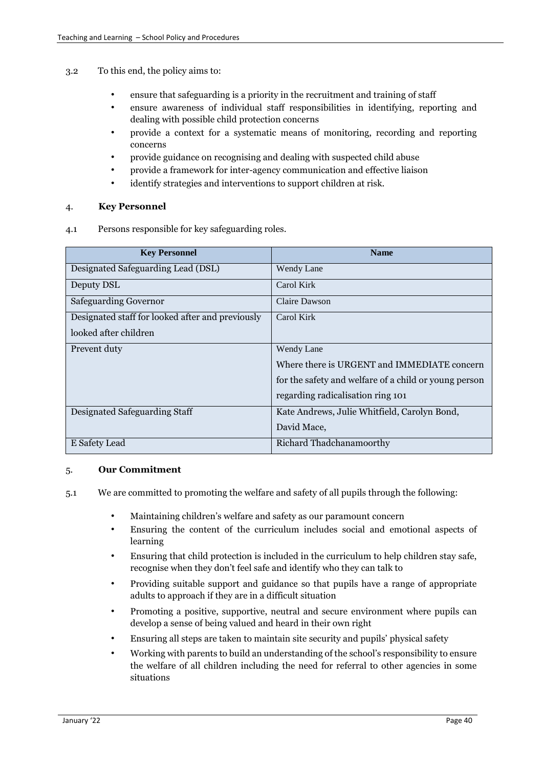- 3.2 To this end, the policy aims to:
	- ensure that safeguarding is a priority in the recruitment and training of staff
	- ensure awareness of individual staff responsibilities in identifying, reporting and dealing with possible child protection concerns
	- provide a context for a systematic means of monitoring, recording and reporting concerns
	- provide guidance on recognising and dealing with suspected child abuse
	- provide a framework for inter-agency communication and effective liaison
	- identify strategies and interventions to support children at risk.

### 4. **Key Personnel**

4.1 Persons responsible for key safeguarding roles.

| <b>Key Personnel</b>                             | <b>Name</b>                                           |
|--------------------------------------------------|-------------------------------------------------------|
| Designated Safeguarding Lead (DSL)               | Wendy Lane                                            |
| Deputy DSL                                       | Carol Kirk                                            |
| <b>Safeguarding Governor</b>                     | Claire Dawson                                         |
| Designated staff for looked after and previously | Carol Kirk                                            |
| looked after children                            |                                                       |
| Prevent duty                                     | Wendy Lane                                            |
|                                                  | Where there is URGENT and IMMEDIATE concern           |
|                                                  | for the safety and welfare of a child or young person |
|                                                  | regarding radicalisation ring 101                     |
| Designated Safeguarding Staff                    | Kate Andrews, Julie Whitfield, Carolyn Bond,          |
|                                                  | David Mace,                                           |
| E Safety Lead                                    | Richard Thadchanamoorthy                              |

### 5. **Our Commitment**

- 5.1 We are committed to promoting the welfare and safety of all pupils through the following:
	- Maintaining children's welfare and safety as our paramount concern
	- Ensuring the content of the curriculum includes social and emotional aspects of learning
	- Ensuring that child protection is included in the curriculum to help children stay safe, recognise when they don't feel safe and identify who they can talk to
	- Providing suitable support and guidance so that pupils have a range of appropriate adults to approach if they are in a difficult situation
	- Promoting a positive, supportive, neutral and secure environment where pupils can develop a sense of being valued and heard in their own right
	- Ensuring all steps are taken to maintain site security and pupils' physical safety
	- Working with parents to build an understanding of the school's responsibility to ensure the welfare of all children including the need for referral to other agencies in some situations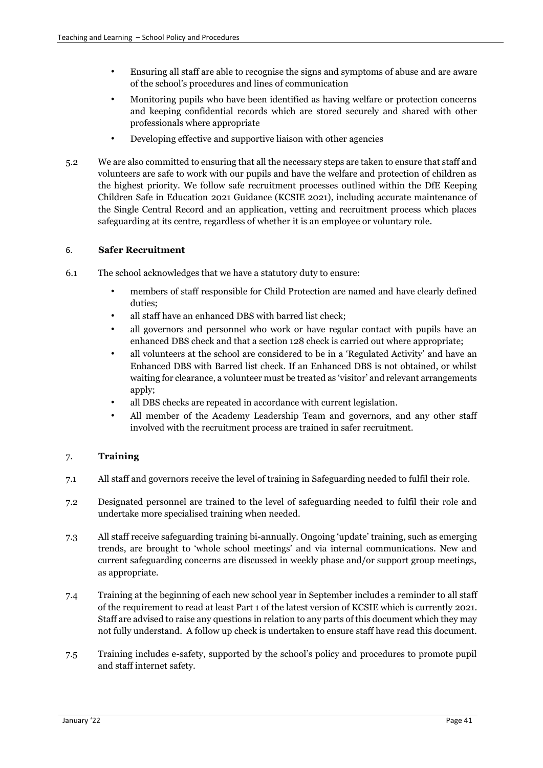- Ensuring all staff are able to recognise the signs and symptoms of abuse and are aware of the school's procedures and lines of communication
- Monitoring pupils who have been identified as having welfare or protection concerns and keeping confidential records which are stored securely and shared with other professionals where appropriate
- Developing effective and supportive liaison with other agencies
- 5.2 We are also committed to ensuring that all the necessary steps are taken to ensure that staff and volunteers are safe to work with our pupils and have the welfare and protection of children as the highest priority. We follow safe recruitment processes outlined within the DfE Keeping Children Safe in Education 2021 Guidance (KCSIE 2021), including accurate maintenance of the Single Central Record and an application, vetting and recruitment process which places safeguarding at its centre, regardless of whether it is an employee or voluntary role.

# 6. **Safer Recruitment**

- 6.1 The school acknowledges that we have a statutory duty to ensure:
	- members of staff responsible for Child Protection are named and have clearly defined duties;
	- all staff have an enhanced DBS with barred list check:
	- all governors and personnel who work or have regular contact with pupils have an enhanced DBS check and that a section 128 check is carried out where appropriate;
	- all volunteers at the school are considered to be in a 'Regulated Activity' and have an Enhanced DBS with Barred list check. If an Enhanced DBS is not obtained, or whilst waiting for clearance, a volunteer must be treated as 'visitor' and relevant arrangements apply;
	- all DBS checks are repeated in accordance with current legislation.
	- All member of the Academy Leadership Team and governors, and any other staff involved with the recruitment process are trained in safer recruitment.

# 7. **Training**

- 7.1 All staff and governors receive the level of training in Safeguarding needed to fulfil their role.
- 7.2 Designated personnel are trained to the level of safeguarding needed to fulfil their role and undertake more specialised training when needed.
- 7.3 All staff receive safeguarding training bi-annually. Ongoing 'update' training, such as emerging trends, are brought to 'whole school meetings' and via internal communications. New and current safeguarding concerns are discussed in weekly phase and/or support group meetings, as appropriate.
- 7.4 Training at the beginning of each new school year in September includes a reminder to all staff of the requirement to read at least Part 1 of the latest version of KCSIE which is currently 2021. Staff are advised to raise any questions in relation to any parts of this document which they may not fully understand. A follow up check is undertaken to ensure staff have read this document.
- 7.5 Training includes e-safety, supported by the school's policy and procedures to promote pupil and staff internet safety.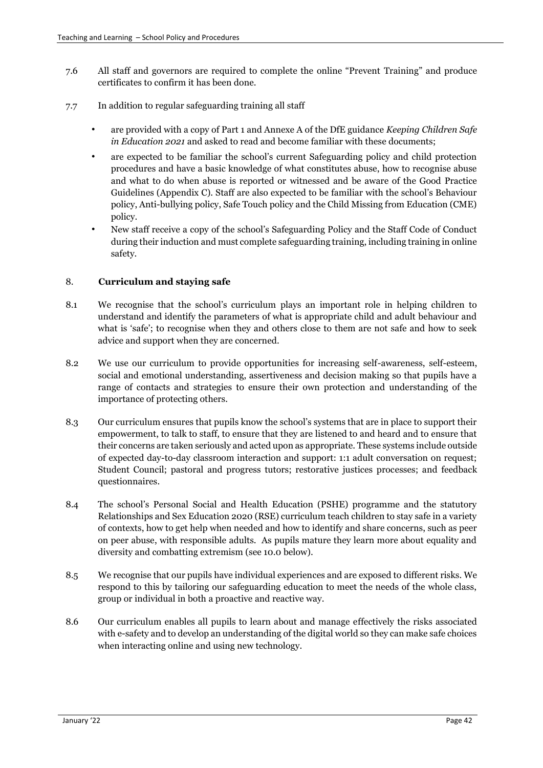- 7.6 All staff and governors are required to complete the online "Prevent Training" and produce certificates to confirm it has been done.
- 7.7 In addition to regular safeguarding training all staff
	- are provided with a copy of Part 1 and Annexe A of the DfE guidance *Keeping Children Safe in Education 2021* and asked to read and become familiar with these documents;
	- are expected to be familiar the school's current Safeguarding policy and child protection procedures and have a basic knowledge of what constitutes abuse, how to recognise abuse and what to do when abuse is reported or witnessed and be aware of the Good Practice Guidelines (Appendix C). Staff are also expected to be familiar with the school's Behaviour policy, Anti-bullying policy, Safe Touch policy and the Child Missing from Education (CME) policy.
	- New staff receive a copy of the school's Safeguarding Policy and the Staff Code of Conduct during their induction and must complete safeguarding training, including training in online safety.

# 8. **Curriculum and staying safe**

- 8.1 We recognise that the school's curriculum plays an important role in helping children to understand and identify the parameters of what is appropriate child and adult behaviour and what is 'safe'; to recognise when they and others close to them are not safe and how to seek advice and support when they are concerned.
- 8.2 We use our curriculum to provide opportunities for increasing self-awareness, self-esteem, social and emotional understanding, assertiveness and decision making so that pupils have a range of contacts and strategies to ensure their own protection and understanding of the importance of protecting others.
- 8.3 Our curriculum ensures that pupils know the school's systems that are in place to support their empowerment, to talk to staff, to ensure that they are listened to and heard and to ensure that their concerns are taken seriously and acted upon as appropriate. These systems include outside of expected day-to-day classroom interaction and support: 1:1 adult conversation on request; Student Council; pastoral and progress tutors; restorative justices processes; and feedback questionnaires.
- 8.4 The school's Personal Social and Health Education (PSHE) programme and the statutory Relationships and Sex Education 2020 (RSE) curriculum teach children to stay safe in a variety of contexts, how to get help when needed and how to identify and share concerns, such as peer on peer abuse, with responsible adults. As pupils mature they learn more about equality and diversity and combatting extremism (see 10.0 below).
- 8.5 We recognise that our pupils have individual experiences and are exposed to different risks. We respond to this by tailoring our safeguarding education to meet the needs of the whole class, group or individual in both a proactive and reactive way.
- 8.6 Our curriculum enables all pupils to learn about and manage effectively the risks associated with e-safety and to develop an understanding of the digital world so they can make safe choices when interacting online and using new technology.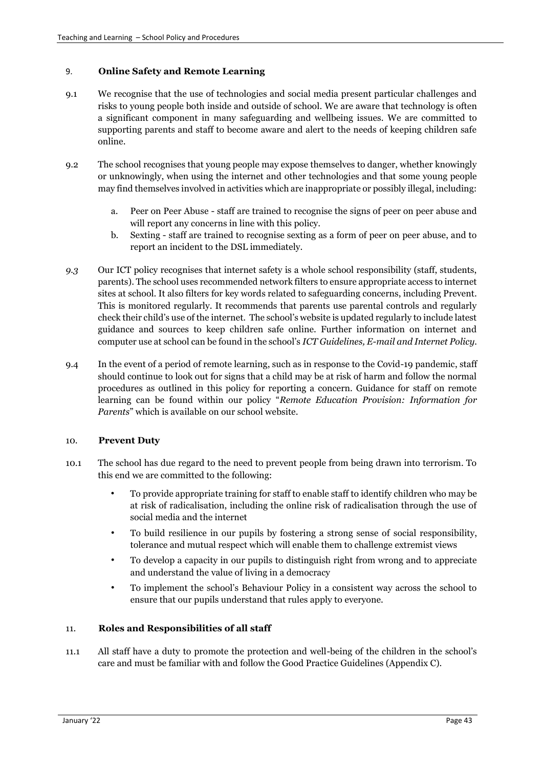### 9. **Online Safety and Remote Learning**

- 9.1 We recognise that the use of technologies and social media present particular challenges and risks to young people both inside and outside of school. We are aware that technology is often a significant component in many safeguarding and wellbeing issues. We are committed to supporting parents and staff to become aware and alert to the needs of keeping children safe online.
- 9.2 The school recognises that young people may expose themselves to danger, whether knowingly or unknowingly, when using the internet and other technologies and that some young people may find themselves involved in activities which are inappropriate or possibly illegal, including:
	- a. Peer on Peer Abuse staff are trained to recognise the signs of peer on peer abuse and will report any concerns in line with this policy.
	- b. Sexting staff are trained to recognise sexting as a form of peer on peer abuse, and to report an incident to the DSL immediately.
- *9.3* Our ICT policy recognises that internet safety is a whole school responsibility (staff, students, parents). The school uses recommended network filters to ensure appropriate access to internet sites at school. It also filters for key words related to safeguarding concerns, including Prevent. This is monitored regularly. It recommends that parents use parental controls and regularly check their child's use of the internet. The school's website is updated regularly to include latest guidance and sources to keep children safe online. Further information on internet and computer use at school can be found in the school's *ICT Guidelines, E-mail and Internet Policy.*
- 9.4 In the event of a period of remote learning, such as in response to the Covid-19 pandemic, staff should continue to look out for signs that a child may be at risk of harm and follow the normal procedures as outlined in this policy for reporting a concern. Guidance for staff on remote learning can be found within our policy "*Remote Education Provision: Information for Parents*" which is available on our school website.

### 10. **Prevent Duty**

- 10.1 The school has due regard to the need to prevent people from being drawn into terrorism. To this end we are committed to the following:
	- To provide appropriate training for staff to enable staff to identify children who may be at risk of radicalisation, including the online risk of radicalisation through the use of social media and the internet
	- To build resilience in our pupils by fostering a strong sense of social responsibility, tolerance and mutual respect which will enable them to challenge extremist views
	- To develop a capacity in our pupils to distinguish right from wrong and to appreciate and understand the value of living in a democracy
	- To implement the school's Behaviour Policy in a consistent way across the school to ensure that our pupils understand that rules apply to everyone.

### 11. **Roles and Responsibilities of all staff**

11.1 All staff have a duty to promote the protection and well-being of the children in the school's care and must be familiar with and follow the Good Practice Guidelines (Appendix C).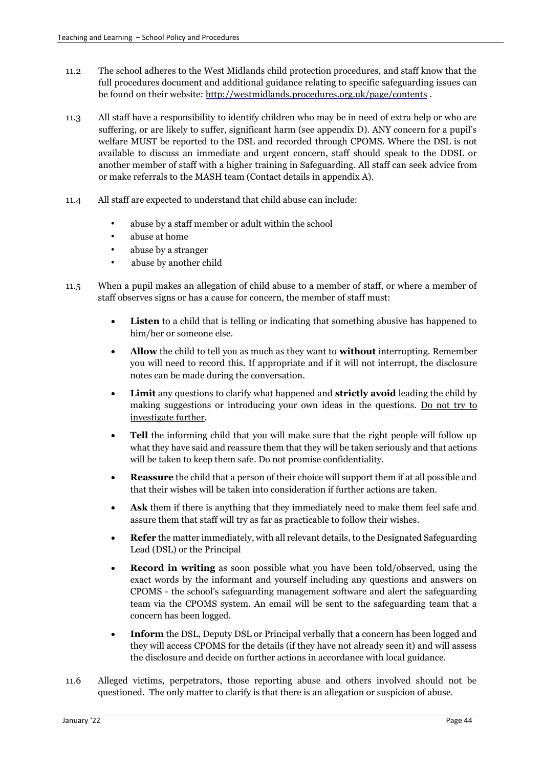- 11.2 The school adheres to the West Midlands child protection procedures, and staff know that the full procedures document and additional guidance relating to specific safeguarding issues can be found on their website:<http://westmidlands.procedures.org.uk/page/contents> .
- 11.3 All staff have a responsibility to identify children who may be in need of extra help or who are suffering, or are likely to suffer, significant harm (see appendix D). ANY concern for a pupil's welfare MUST be reported to the DSL and recorded through CPOMS. Where the DSL is not available to discuss an immediate and urgent concern, staff should speak to the DDSL or another member of staff with a higher training in Safeguarding. All staff can seek advice from or make referrals to the MASH team (Contact details in appendix A).
- 11.4 All staff are expected to understand that child abuse can include:
	- abuse by a staff member or adult within the school
	- abuse at home
	- abuse by a stranger
	- abuse by another child
- 11.5 When a pupil makes an allegation of child abuse to a member of staff, or where a member of staff observes signs or has a cause for concern, the member of staff must:
	- **Listen** to a child that is telling or indicating that something abusive has happened to him/her or someone else.
	- **Allow** the child to tell you as much as they want to **without** interrupting. Remember you will need to record this. If appropriate and if it will not interrupt, the disclosure notes can be made during the conversation.
	- **Limit** any questions to clarify what happened and **strictly avoid** leading the child by making suggestions or introducing your own ideas in the questions. Do not try to investigate further.
	- **Tell** the informing child that you will make sure that the right people will follow up what they have said and reassure them that they will be taken seriously and that actions will be taken to keep them safe. Do not promise confidentiality.
	- **Reassure** the child that a person of their choice will support them if at all possible and that their wishes will be taken into consideration if further actions are taken.
	- **Ask** them if there is anything that they immediately need to make them feel safe and assure them that staff will try as far as practicable to follow their wishes.
	- **Refer** the matter immediately, with all relevant details, to the Designated Safeguarding Lead (DSL) or the Principal
	- **Record in writing** as soon possible what you have been told/observed, using the exact words by the informant and yourself including any questions and answers on CPOMS - the school's safeguarding management software and alert the safeguarding team via the CPOMS system. An email will be sent to the safeguarding team that a concern has been logged.
	- **Inform** the DSL, Deputy DSL or Principal verbally that a concern has been logged and they will access CPOMS for the details (if they have not already seen it) and will assess the disclosure and decide on further actions in accordance with local guidance.
- 11.6 Alleged victims, perpetrators, those reporting abuse and others involved should not be questioned. The only matter to clarify is that there is an allegation or suspicion of abuse.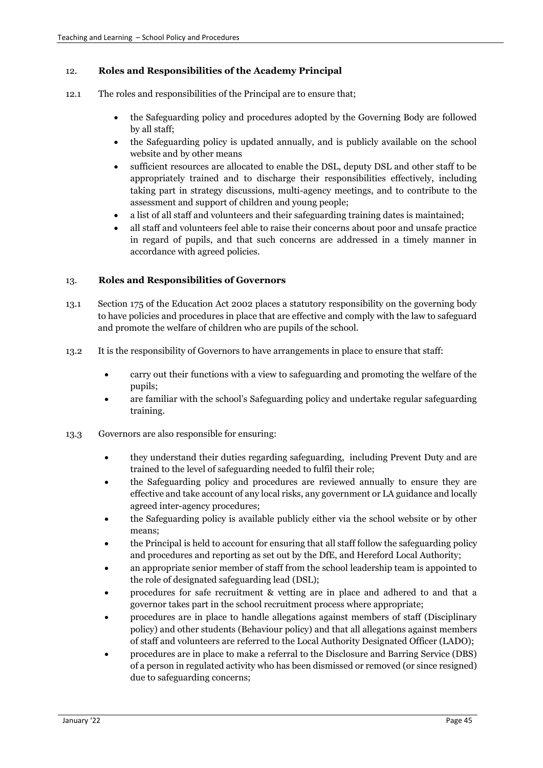### 12. **Roles and Responsibilities of the Academy Principal**

- 12.1 The roles and responsibilities of the Principal are to ensure that;
	- the Safeguarding policy and procedures adopted by the Governing Body are followed by all staff;
	- the Safeguarding policy is updated annually, and is publicly available on the school website and by other means
	- sufficient resources are allocated to enable the DSL, deputy DSL and other staff to be appropriately trained and to discharge their responsibilities effectively, including taking part in strategy discussions, multi-agency meetings, and to contribute to the assessment and support of children and young people;
	- a list of all staff and volunteers and their safeguarding training dates is maintained;
	- all staff and volunteers feel able to raise their concerns about poor and unsafe practice in regard of pupils, and that such concerns are addressed in a timely manner in accordance with agreed policies.

### 13. **Roles and Responsibilities of Governors**

- 13.1 Section 175 of the Education Act 2002 places a statutory responsibility on the governing body to have policies and procedures in place that are effective and comply with the law to safeguard and promote the welfare of children who are pupils of the school.
- 13.2 It is the responsibility of Governors to have arrangements in place to ensure that staff:
	- carry out their functions with a view to safeguarding and promoting the welfare of the pupils;
	- are familiar with the school's Safeguarding policy and undertake regular safeguarding training.
- 13.3 Governors are also responsible for ensuring:
	- they understand their duties regarding safeguarding, including Prevent Duty and are trained to the level of safeguarding needed to fulfil their role;
	- the Safeguarding policy and procedures are reviewed annually to ensure they are effective and take account of any local risks, any government or LA guidance and locally agreed inter-agency procedures;
	- the Safeguarding policy is available publicly either via the school website or by other means;
	- the Principal is held to account for ensuring that all staff follow the safeguarding policy and procedures and reporting as set out by the DfE, and Hereford Local Authority;
	- an appropriate senior member of staff from the school leadership team is appointed to the role of designated safeguarding lead (DSL);
	- procedures for safe recruitment & vetting are in place and adhered to and that a governor takes part in the school recruitment process where appropriate;
	- procedures are in place to handle allegations against members of staff (Disciplinary policy) and other students (Behaviour policy) and that all allegations against members of staff and volunteers are referred to the Local Authority Designated Officer (LADO);
	- procedures are in place to make a referral to the Disclosure and Barring Service (DBS) of a person in regulated activity who has been dismissed or removed (or since resigned) due to safeguarding concerns;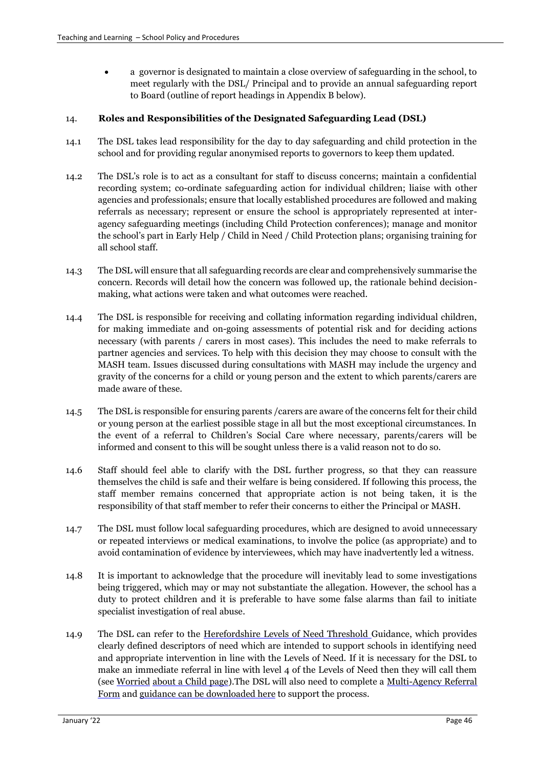a governor is designated to maintain a close overview of safeguarding in the school, to meet regularly with the DSL/ Principal and to provide an annual safeguarding report to Board (outline of report headings in Appendix B below).

### 14. **Roles and Responsibilities of the Designated Safeguarding Lead (DSL)**

- 14.1 The DSL takes lead responsibility for the day to day safeguarding and child protection in the school and for providing regular anonymised reports to governors to keep them updated.
- 14.2 The DSL's role is to act as a consultant for staff to discuss concerns; maintain a confidential recording system; co-ordinate safeguarding action for individual children; liaise with other agencies and professionals; ensure that locally established procedures are followed and making referrals as necessary; represent or ensure the school is appropriately represented at interagency safeguarding meetings (including Child Protection conferences); manage and monitor the school's part in Early Help / Child in Need / Child Protection plans; organising training for all school staff.
- 14.3 The DSL will ensure that all safeguarding records are clear and comprehensively summarise the concern. Records will detail how the concern was followed up, the rationale behind decisionmaking, what actions were taken and what outcomes were reached.
- 14.4 The DSL is responsible for receiving and collating information regarding individual children, for making immediate and on-going assessments of potential risk and for deciding actions necessary (with parents / carers in most cases). This includes the need to make referrals to partner agencies and services. To help with this decision they may choose to consult with the MASH team. Issues discussed during consultations with MASH may include the urgency and gravity of the concerns for a child or young person and the extent to which parents/carers are made aware of these.
- 14.5 The DSL is responsible for ensuring parents /carers are aware of the concerns felt for their child or young person at the earliest possible stage in all but the most exceptional circumstances. In the event of a referral to Children's Social Care where necessary, parents/carers will be informed and consent to this will be sought unless there is a valid reason not to do so.
- 14.6 Staff should feel able to clarify with the DSL further progress, so that they can reassure themselves the child is safe and their welfare is being considered. If following this process, the staff member remains concerned that appropriate action is not being taken, it is the responsibility of that staff member to refer their concerns to either the Principal or MASH.
- 14.7 The DSL must follow local safeguarding procedures, which are designed to avoid unnecessary or repeated interviews or medical examinations, to involve the police (as appropriate) and to avoid contamination of evidence by interviewees, which may have inadvertently led a witness.
- 14.8 It is important to acknowledge that the procedure will inevitably lead to some investigations being triggered, which may or may not substantiate the allegation. However, the school has a duty to protect children and it is preferable to have some false alarms than fail to initiate specialist investigation of real abuse.
- 14.9 The DSL can refer to the [Herefordshire Levels of Need Threshold Gu](http://hscb.herefordshire.gov.uk/media/1126/hscb_levels_of_need_full_guide_nov_2014.pdf)idance, which provides clearly defined descriptors of need which are intended to support schools in identifying need and appropriate intervention in line with the Levels of Need. If it is necessary for the DSL to make an immediate referral in line with level 4 of the Levels of Need then they will call them (see [Worried](http://hscb.herefordshire.gov.uk/the-board-and-our-priorities/worried-about-a-child/) [about a Child page\).](http://hscb.herefordshire.gov.uk/the-board-and-our-priorities/worried-about-a-child/)The DSL will also need to complete a [Multi-Agency](http://hscb.herefordshire.gov.uk/media/1159/multi-agency_referral_form_2014-10_v11.doc) [Referral](http://hscb.herefordshire.gov.uk/media/1159/multi-agency_referral_form_2014-10_v11.doc)  [Form](http://hscb.herefordshire.gov.uk/media/1159/multi-agency_referral_form_2014-10_v11.doc) and [guidance can be downloaded here](http://hscb.herefordshire.gov.uk/media/1117/standards_and_guidance_for_multi_agency_referrals_to_social_care_2014-10_v11.pdf) [t](http://hscb.herefordshire.gov.uk/media/1117/standards_and_guidance_for_multi_agency_referrals_to_social_care_2014-10_v11.pdf)o support the process.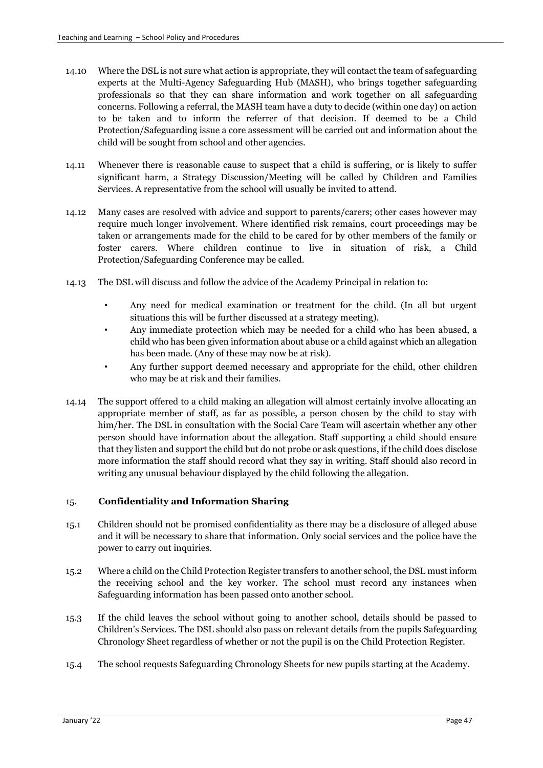- 14.10 Where the DSL is not sure what action is appropriate, they will contact the team of safeguarding experts at the Multi-Agency Safeguarding Hub (MASH), who brings together safeguarding professionals so that they can share information and work together on all safeguarding concerns. Following a referral, the MASH team have a duty to decide (within one day) on action to be taken and to inform the referrer of that decision. If deemed to be a Child Protection/Safeguarding issue a core assessment will be carried out and information about the child will be sought from school and other agencies.
- 14.11 Whenever there is reasonable cause to suspect that a child is suffering, or is likely to suffer significant harm, a Strategy Discussion/Meeting will be called by Children and Families Services. A representative from the school will usually be invited to attend.
- 14.12 Many cases are resolved with advice and support to parents/carers; other cases however may require much longer involvement. Where identified risk remains, court proceedings may be taken or arrangements made for the child to be cared for by other members of the family or foster carers. Where children continue to live in situation of risk, a Child Protection/Safeguarding Conference may be called.
- 14.13 The DSL will discuss and follow the advice of the Academy Principal in relation to:
	- Any need for medical examination or treatment for the child. (In all but urgent situations this will be further discussed at a strategy meeting).
	- Any immediate protection which may be needed for a child who has been abused, a child who has been given information about abuse or a child against which an allegation has been made. (Any of these may now be at risk).
	- Any further support deemed necessary and appropriate for the child, other children who may be at risk and their families.
- 14.14 The support offered to a child making an allegation will almost certainly involve allocating an appropriate member of staff, as far as possible, a person chosen by the child to stay with him/her. The DSL in consultation with the Social Care Team will ascertain whether any other person should have information about the allegation. Staff supporting a child should ensure that they listen and support the child but do not probe or ask questions, if the child does disclose more information the staff should record what they say in writing. Staff should also record in writing any unusual behaviour displayed by the child following the allegation.

# 15. **Confidentiality and Information Sharing**

- 15.1 Children should not be promised confidentiality as there may be a disclosure of alleged abuse and it will be necessary to share that information. Only social services and the police have the power to carry out inquiries.
- 15.2 Where a child on the Child Protection Register transfers to another school, the DSL must inform the receiving school and the key worker. The school must record any instances when Safeguarding information has been passed onto another school.
- 15.3 If the child leaves the school without going to another school, details should be passed to Children's Services. The DSL should also pass on relevant details from the pupils Safeguarding Chronology Sheet regardless of whether or not the pupil is on the Child Protection Register.
- 15.4 The school requests Safeguarding Chronology Sheets for new pupils starting at the Academy.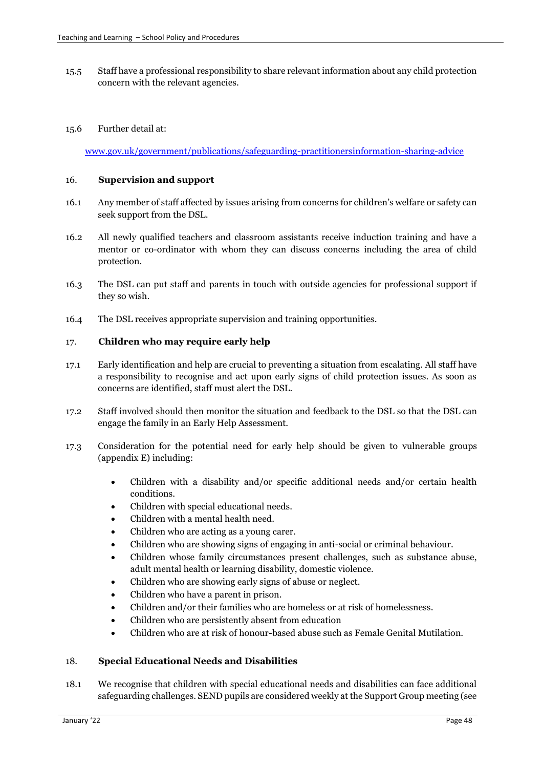15.5 Staff have a professional responsibility to share relevant information about any child protection concern with the relevant agencies.

### 15.6 Further detail at:

[www.gov.uk/government/publications/safeguarding-practitionersinformation-sharing-advice](http://www.gov.uk/government/publications/safeguarding-practitioners-information-sharing-advice)

#### 16. **Supervision and support**

- 16.1 Any member of staff affected by issues arising from concerns for children's welfare or safety can seek support from the DSL.
- 16.2 All newly qualified teachers and classroom assistants receive induction training and have a mentor or co-ordinator with whom they can discuss concerns including the area of child protection.
- 16.3 The DSL can put staff and parents in touch with outside agencies for professional support if they so wish.
- 16.4 The DSL receives appropriate supervision and training opportunities.

#### 17. **Children who may require early help**

- 17.1 Early identification and help are crucial to preventing a situation from escalating. All staff have a responsibility to recognise and act upon early signs of child protection issues. As soon as concerns are identified, staff must alert the DSL.
- 17.2 Staff involved should then monitor the situation and feedback to the DSL so that the DSL can engage the family in an Early Help Assessment.
- 17.3 Consideration for the potential need for early help should be given to vulnerable groups (appendix E) including:
	- Children with a disability and/or specific additional needs and/or certain health conditions.
	- Children with special educational needs.
	- Children with a mental health need.
	- Children who are acting as a young carer.
	- Children who are showing signs of engaging in anti-social or criminal behaviour.
	- Children whose family circumstances present challenges, such as substance abuse, adult mental health or learning disability, domestic violence.
	- Children who are showing early signs of abuse or neglect.
	- Children who have a parent in prison.
	- Children and/or their families who are homeless or at risk of homelessness.
	- Children who are persistently absent from education
	- Children who are at risk of honour-based abuse such as Female Genital Mutilation.

### 18. **Special Educational Needs and Disabilities**

18.1 We recognise that children with special educational needs and disabilities can face additional safeguarding challenges. SEND pupils are considered weekly at the Support Group meeting (see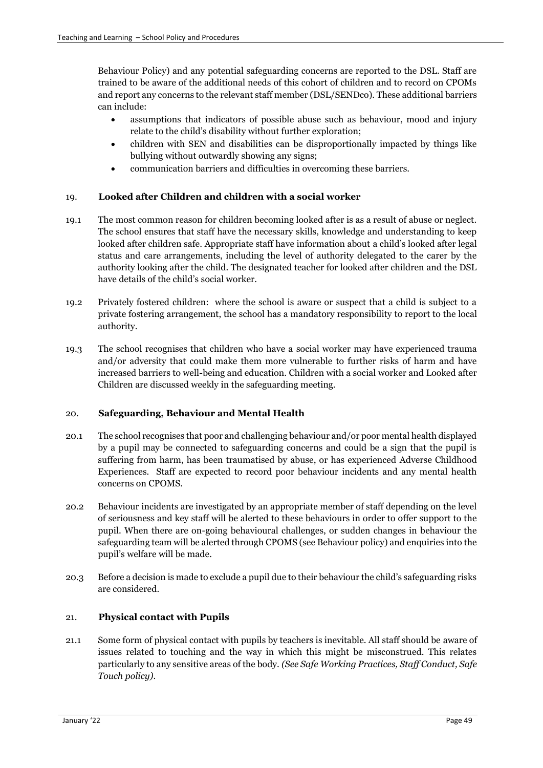Behaviour Policy) and any potential safeguarding concerns are reported to the DSL. Staff are trained to be aware of the additional needs of this cohort of children and to record on CPOMs and report any concerns to the relevant staff member (DSL/SENDco). These additional barriers can include:

- assumptions that indicators of possible abuse such as behaviour, mood and injury relate to the child's disability without further exploration;
- children with SEN and disabilities can be disproportionally impacted by things like bullying without outwardly showing any signs;
- communication barriers and difficulties in overcoming these barriers.

### 19. **Looked after Children and children with a social worker**

- 19.1 The most common reason for children becoming looked after is as a result of abuse or neglect. The school ensures that staff have the necessary skills, knowledge and understanding to keep looked after children safe. Appropriate staff have information about a child's looked after legal status and care arrangements, including the level of authority delegated to the carer by the authority looking after the child. The designated teacher for looked after children and the DSL have details of the child's social worker.
- 19.2 Privately fostered children: where the school is aware or suspect that a child is subject to a private fostering arrangement, the school has a mandatory responsibility to report to the local authority.
- 19.3 The school recognises that children who have a social worker may have experienced trauma and/or adversity that could make them more vulnerable to further risks of harm and have increased barriers to well-being and education. Children with a social worker and Looked after Children are discussed weekly in the safeguarding meeting.

### 20. **Safeguarding, Behaviour and Mental Health**

- 20.1 The school recognises that poor and challenging behaviour and/or poor mental health displayed by a pupil may be connected to safeguarding concerns and could be a sign that the pupil is suffering from harm, has been traumatised by abuse, or has experienced Adverse Childhood Experiences. Staff are expected to record poor behaviour incidents and any mental health concerns on CPOMS.
- 20.2 Behaviour incidents are investigated by an appropriate member of staff depending on the level of seriousness and key staff will be alerted to these behaviours in order to offer support to the pupil. When there are on-going behavioural challenges, or sudden changes in behaviour the safeguarding team will be alerted through CPOMS (see Behaviour policy) and enquiries into the pupil's welfare will be made.
- 20.3 Before a decision is made to exclude a pupil due to their behaviour the child's safeguarding risks are considered.

### 21. **Physical contact with Pupils**

21.1 Some form of physical contact with pupils by teachers is inevitable. All staff should be aware of issues related to touching and the way in which this might be misconstrued. This relates particularly to any sensitive areas of the body. *(See Safe Working Practices, Staff Conduct, Safe Touch policy)*.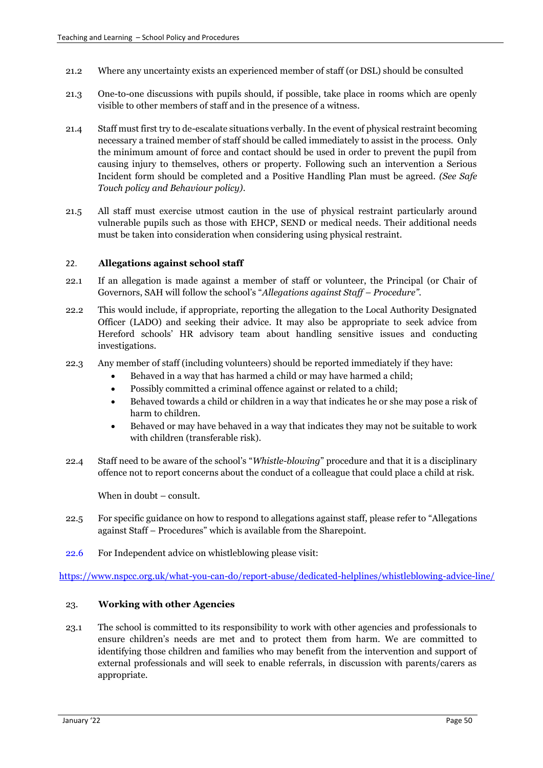- 21.2 Where any uncertainty exists an experienced member of staff (or DSL) should be consulted
- 21.3 One-to-one discussions with pupils should, if possible, take place in rooms which are openly visible to other members of staff and in the presence of a witness.
- 21.4 Staff must first try to de-escalate situations verbally. In the event of physical restraint becoming necessary a trained member of staff should be called immediately to assist in the process. Only the minimum amount of force and contact should be used in order to prevent the pupil from causing injury to themselves, others or property. Following such an intervention a Serious Incident form should be completed and a Positive Handling Plan must be agreed. *(See Safe Touch policy and Behaviour policy)*.
- 21.5 All staff must exercise utmost caution in the use of physical restraint particularly around vulnerable pupils such as those with EHCP, SEND or medical needs. Their additional needs must be taken into consideration when considering using physical restraint.

#### 22. **Allegations against school staff**

- 22.1 If an allegation is made against a member of staff or volunteer, the Principal (or Chair of Governors, SAH will follow the school's "*Allegations against Staff – Procedure".*
- 22.2 This would include, if appropriate, reporting the allegation to the Local Authority Designated Officer (LADO) and seeking their advice. It may also be appropriate to seek advice from Hereford schools' HR advisory team about handling sensitive issues and conducting investigations.
- 22.3 Any member of staff (including volunteers) should be reported immediately if they have:
	- Behaved in a way that has harmed a child or may have harmed a child;
	- Possibly committed a criminal offence against or related to a child;
	- Behaved towards a child or children in a way that indicates he or she may pose a risk of harm to children.
	- Behaved or may have behaved in a way that indicates they may not be suitable to work with children (transferable risk).
- 22.4 Staff need to be aware of the school's "*Whistle-blowing*" procedure and that it is a disciplinary offence not to report concerns about the conduct of a colleague that could place a child at risk.

When in doubt – consult.

- 22.5 For specific guidance on how to respond to allegations against staff, please refer to "Allegations against Staff – Procedures" which is available from the Sharepoint.
- 22.6 For Independent advice on whistleblowing please visit:

<https://www.nspcc.org.uk/what-you-can-do/report-abuse/dedicated-helplines/whistleblowing-advice-line/>

### 23. **Working with other Agencies**

23.1 The school is committed to its responsibility to work with other agencies and professionals to ensure children's needs are met and to protect them from harm. We are committed to identifying those children and families who may benefit from the intervention and support of external professionals and will seek to enable referrals, in discussion with parents/carers as appropriate.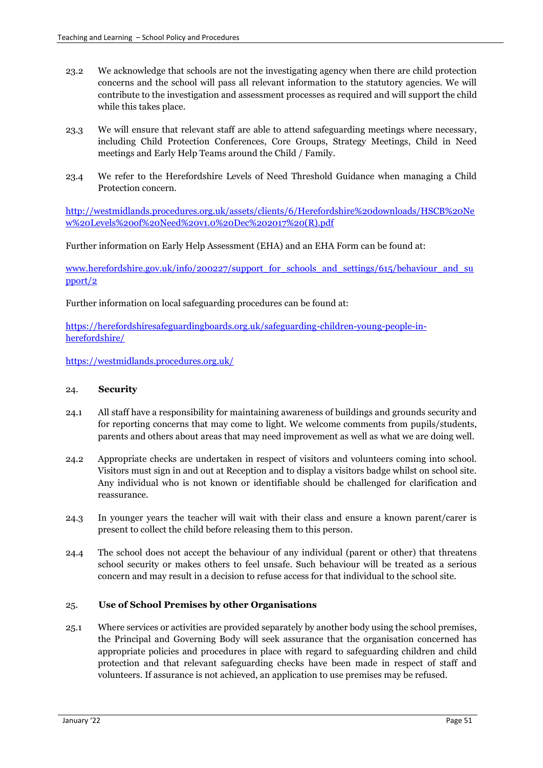- 23.2 We acknowledge that schools are not the investigating agency when there are child protection concerns and the school will pass all relevant information to the statutory agencies. We will contribute to the investigation and assessment processes as required and will support the child while this takes place.
- 23.3 We will ensure that relevant staff are able to attend safeguarding meetings where necessary, including Child Protection Conferences, Core Groups, Strategy Meetings, Child in Need meetings and Early Help Teams around the Child / Family.
- 23.4 We refer to the Herefordshire Levels of Need Threshold Guidance when managing a Child Protection concern.

[http://westmidlands.procedures.org.uk/assets/clients/6/Herefordshire%20downloads/HSCB%20Ne](http://westmidlands.procedures.org.uk/assets/clients/6/Herefordshire%20downloads/HSCB%20New%20Levels%20of%20Need%20v1.0%20Dec%202017%20(R).pdf) [w%20Levels%20of%20Need%20v1.0%20Dec%202017%20\(R\).pdf](http://westmidlands.procedures.org.uk/assets/clients/6/Herefordshire%20downloads/HSCB%20New%20Levels%20of%20Need%20v1.0%20Dec%202017%20(R).pdf)

Further information on Early Help Assessment (EHA) and an EHA Form can be found at:

[www.herefordshire.gov.uk/info/200227/support\\_for\\_schools\\_and\\_settings/615/behaviour\\_and\\_su](http://www.herefordshire.gov.uk/info/200227/support_for_schools_and_settings/615/behaviour_and_support/2) [pport/2](http://www.herefordshire.gov.uk/info/200227/support_for_schools_and_settings/615/behaviour_and_support/2)

Further information on local safeguarding procedures can be found at:

https://herefordshiresafeguardingboards.org.uk/safeguarding-children-young-people-inherefordshire/

<https://westmidlands.procedures.org.uk/>

#### 24. **Security**

- 24.1 All staff have a responsibility for maintaining awareness of buildings and grounds security and for reporting concerns that may come to light. We welcome comments from pupils/students, parents and others about areas that may need improvement as well as what we are doing well.
- 24.2 Appropriate checks are undertaken in respect of visitors and volunteers coming into school. Visitors must sign in and out at Reception and to display a visitors badge whilst on school site. Any individual who is not known or identifiable should be challenged for clarification and reassurance.
- 24.3 In younger years the teacher will wait with their class and ensure a known parent/carer is present to collect the child before releasing them to this person.
- 24.4 The school does not accept the behaviour of any individual (parent or other) that threatens school security or makes others to feel unsafe. Such behaviour will be treated as a serious concern and may result in a decision to refuse access for that individual to the school site.

#### 25. **Use of School Premises by other Organisations**

25.1 Where services or activities are provided separately by another body using the school premises, the Principal and Governing Body will seek assurance that the organisation concerned has appropriate policies and procedures in place with regard to safeguarding children and child protection and that relevant safeguarding checks have been made in respect of staff and volunteers. If assurance is not achieved, an application to use premises may be refused.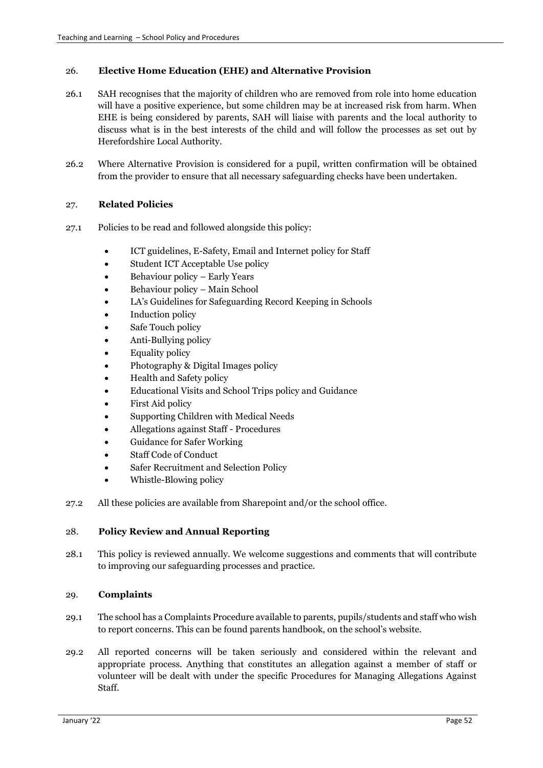### 26. **Elective Home Education (EHE) and Alternative Provision**

- 26.1 SAH recognises that the majority of children who are removed from role into home education will have a positive experience, but some children may be at increased risk from harm. When EHE is being considered by parents, SAH will liaise with parents and the local authority to discuss what is in the best interests of the child and will follow the processes as set out by Herefordshire Local Authority.
- 26.2 Where Alternative Provision is considered for a pupil, written confirmation will be obtained from the provider to ensure that all necessary safeguarding checks have been undertaken.

#### 27. **Related Policies**

- 27.1 Policies to be read and followed alongside this policy:
	- ICT guidelines, E-Safety, Email and Internet policy for Staff
	- Student ICT Acceptable Use policy
	- Behaviour policy Early Years
	- Behaviour policy Main School
	- LA's Guidelines for Safeguarding Record Keeping in Schools
	- Induction policy
	- Safe Touch policy
	- Anti-Bullying policy
	- Equality policy
	- Photography & Digital Images policy
	- Health and Safety policy
	- Educational Visits and School Trips policy and Guidance
	- First Aid policy
	- Supporting Children with Medical Needs
	- Allegations against Staff Procedures
	- Guidance for Safer Working
	- Staff Code of Conduct
	- Safer Recruitment and Selection Policy
	- Whistle-Blowing policy
- 27.2 All these policies are available from Sharepoint and/or the school office.

### 28. **Policy Review and Annual Reporting**

28.1 This policy is reviewed annually. We welcome suggestions and comments that will contribute to improving our safeguarding processes and practice.

### 29. **Complaints**

- 29.1 The school has a Complaints Procedure available to parents, pupils/students and staff who wish to report concerns. This can be found parents handbook, on the school's website.
- 29.2 All reported concerns will be taken seriously and considered within the relevant and appropriate process. Anything that constitutes an allegation against a member of staff or volunteer will be dealt with under the specific Procedures for Managing Allegations Against Staff.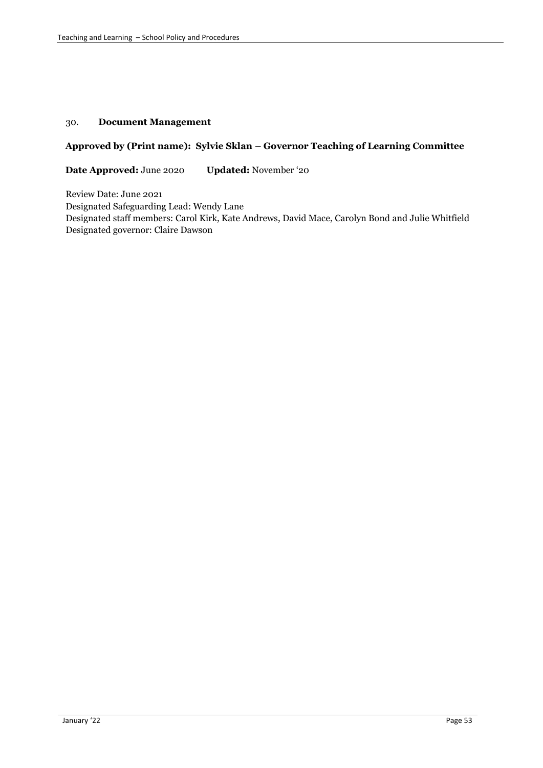### 30. **Document Management**

### **Approved by (Print name): Sylvie Sklan – Governor Teaching of Learning Committee**

**Date Approved:** June 2020 **Updated:** November '20

Review Date: June 2021 Designated Safeguarding Lead: Wendy Lane Designated staff members: Carol Kirk, Kate Andrews, David Mace, Carolyn Bond and Julie Whitfield Designated governor: Claire Dawson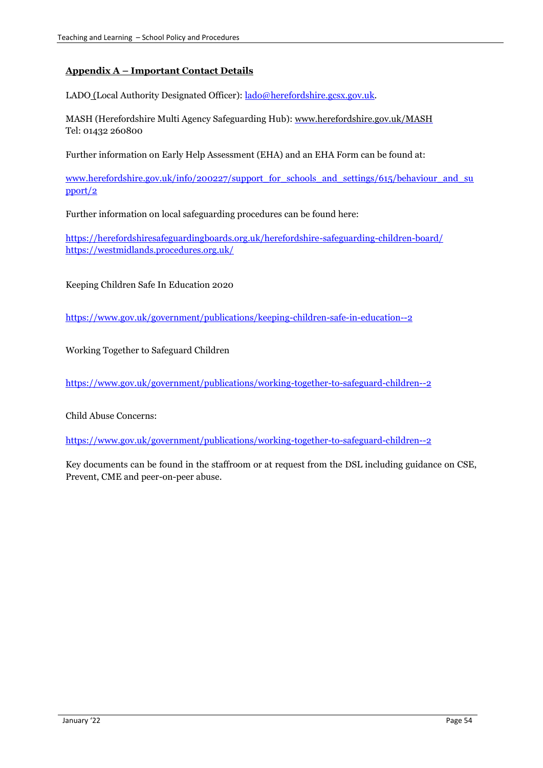# **Appendix A – Important Contact Details**

LADO (Local Authority Designated Officer)[: lado@herefordshire.gcsx.gov.uk.](mailto:lado@herefordshire.gcsx.gov.uk)

MASH (Herefordshire Multi Agency Safeguarding Hub): [www.herefordshire.gov.uk/MASH](http://www.herefordshire.gov.uk/MASH) Tel: 01432 260800

Further information on Early Help Assessment (EHA) and an EHA Form can be found at:

[www.herefordshire.gov.uk/info/200227/support\\_for\\_schools\\_and\\_settings/615/behaviour\\_and\\_su](http://www.herefordshire.gov.uk/info/200227/support_for_schools_and_settings/615/behaviour_and_support/2) [pport/2](http://www.herefordshire.gov.uk/info/200227/support_for_schools_and_settings/615/behaviour_and_support/2)

Further information on local safeguarding procedures can be found here:

<https://herefordshiresafeguardingboards.org.uk/herefordshire-safeguarding-children-board/> <https://westmidlands.procedures.org.uk/>

Keeping Children Safe In Education 2020

<https://www.gov.uk/government/publications/keeping-children-safe-in-education--2>

Working Together to Safeguard Children

<https://www.gov.uk/government/publications/working-together-to-safeguard-children--2>

Child Abuse Concerns:

<https://www.gov.uk/government/publications/working-together-to-safeguard-children--2>

Key documents can be found in the staffroom or at request from the DSL including guidance on CSE, Prevent, CME and peer-on-peer abuse.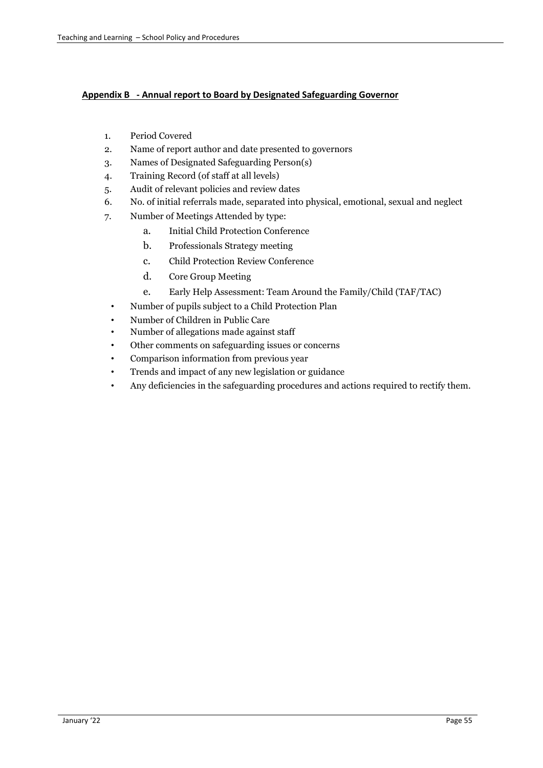# **Appendix B - Annual report to Board by Designated Safeguarding Governor**

- 1. Period Covered
- 2. Name of report author and date presented to governors
- 3. Names of Designated Safeguarding Person(s)
- 4. Training Record (of staff at all levels)
- 5. Audit of relevant policies and review dates
- 6. No. of initial referrals made, separated into physical, emotional, sexual and neglect
- 7. Number of Meetings Attended by type:
	- a. Initial Child Protection Conference
	- b. Professionals Strategy meeting
	- c. Child Protection Review Conference
	- d. Core Group Meeting
	- e. Early Help Assessment: Team Around the Family/Child (TAF/TAC)
	- Number of pupils subject to a Child Protection Plan
	- Number of Children in Public Care
	- Number of allegations made against staff
	- Other comments on safeguarding issues or concerns
	- Comparison information from previous year
	- Trends and impact of any new legislation or guidance
	- Any deficiencies in the safeguarding procedures and actions required to rectify them.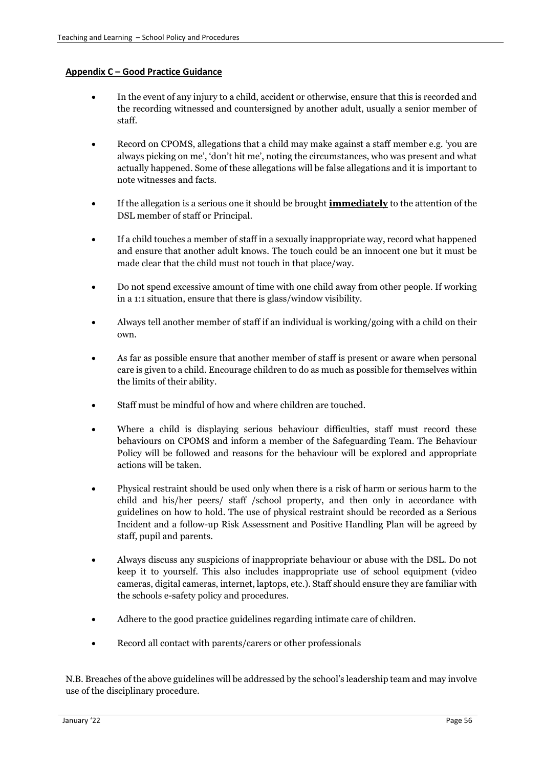# **Appendix C – Good Practice Guidance**

- In the event of any injury to a child, accident or otherwise, ensure that this is recorded and the recording witnessed and countersigned by another adult, usually a senior member of staff.
- Record on CPOMS, allegations that a child may make against a staff member e.g. 'you are always picking on me', 'don't hit me', noting the circumstances, who was present and what actually happened. Some of these allegations will be false allegations and it is important to note witnesses and facts.
- If the allegation is a serious one it should be brought **immediately** to the attention of the DSL member of staff or Principal.
- If a child touches a member of staff in a sexually inappropriate way, record what happened and ensure that another adult knows. The touch could be an innocent one but it must be made clear that the child must not touch in that place/way.
- Do not spend excessive amount of time with one child away from other people. If working in a 1:1 situation, ensure that there is glass/window visibility.
- Always tell another member of staff if an individual is working/going with a child on their own.
- As far as possible ensure that another member of staff is present or aware when personal care is given to a child. Encourage children to do as much as possible for themselves within the limits of their ability.
- Staff must be mindful of how and where children are touched.
- Where a child is displaying serious behaviour difficulties, staff must record these behaviours on CPOMS and inform a member of the Safeguarding Team. The Behaviour Policy will be followed and reasons for the behaviour will be explored and appropriate actions will be taken.
- Physical restraint should be used only when there is a risk of harm or serious harm to the child and his/her peers/ staff /school property, and then only in accordance with guidelines on how to hold. The use of physical restraint should be recorded as a Serious Incident and a follow-up Risk Assessment and Positive Handling Plan will be agreed by staff, pupil and parents.
- Always discuss any suspicions of inappropriate behaviour or abuse with the DSL. Do not keep it to yourself. This also includes inappropriate use of school equipment (video cameras, digital cameras, internet, laptops, etc.). Staff should ensure they are familiar with the schools e-safety policy and procedures.
- Adhere to the good practice guidelines regarding intimate care of children.
- Record all contact with parents/carers or other professionals

N.B. Breaches of the above guidelines will be addressed by the school's leadership team and may involve use of the disciplinary procedure.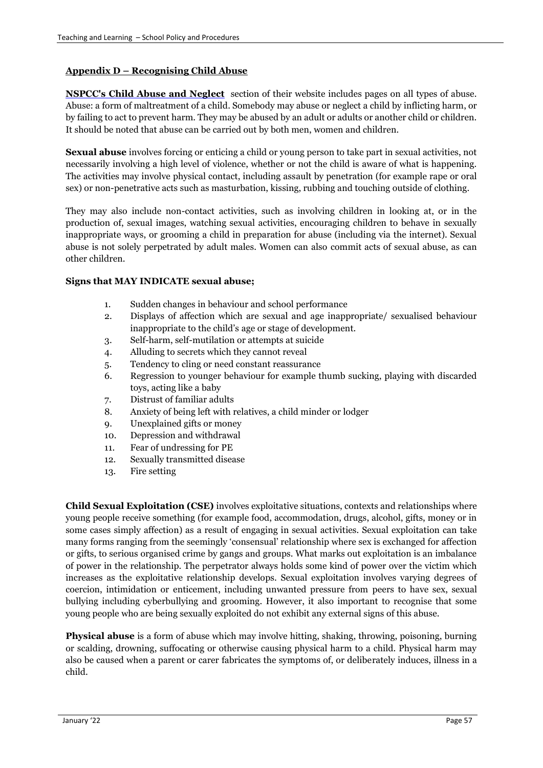# **Appendix D – Recognising Child Abuse**

**[NSPCC's Child Abuse and Neglect](http://www.nspcc.org.uk/help-and-advice/worried-about-a-child/online-advice/online-advice_wdh85524.html)** section of their website includes pages on all types of abuse. Abuse: a form of maltreatment of a child. Somebody may abuse or neglect a child by inflicting harm, or by failing to act to prevent harm. They may be abused by an adult or adults or another child or children. It should be noted that abuse can be carried out by both men, women and children.

**Sexual abuse** involves forcing or enticing a child or young person to take part in sexual activities, not necessarily involving a high level of violence, whether or not the child is aware of what is happening. The activities may involve physical contact, including assault by penetration (for example rape or oral sex) or non-penetrative acts such as masturbation, kissing, rubbing and touching outside of clothing.

They may also include non-contact activities, such as involving children in looking at, or in the production of, sexual images, watching sexual activities, encouraging children to behave in sexually inappropriate ways, or grooming a child in preparation for abuse (including via the internet). Sexual abuse is not solely perpetrated by adult males. Women can also commit acts of sexual abuse, as can other children.

# **Signs that MAY INDICATE sexual abuse;**

- 1. Sudden changes in behaviour and school performance
- 2. Displays of affection which are sexual and age inappropriate/ sexualised behaviour inappropriate to the child's age or stage of development.
- 3. Self-harm, self-mutilation or attempts at suicide
- 4. Alluding to secrets which they cannot reveal
- 5. Tendency to cling or need constant reassurance
- 6. Regression to younger behaviour for example thumb sucking, playing with discarded toys, acting like a baby
- 7. Distrust of familiar adults
- 8. Anxiety of being left with relatives, a child minder or lodger
- 9. Unexplained gifts or money
- 10. Depression and withdrawal
- 11. Fear of undressing for PE
- 12. Sexually transmitted disease
- 13. Fire setting

**Child Sexual Exploitation (CSE)** involves exploitative situations, contexts and relationships where young people receive something (for example food, accommodation, drugs, alcohol, gifts, money or in some cases simply affection) as a result of engaging in sexual activities. Sexual exploitation can take many forms ranging from the seemingly 'consensual' relationship where sex is exchanged for affection or gifts, to serious organised crime by gangs and groups. What marks out exploitation is an imbalance of power in the relationship. The perpetrator always holds some kind of power over the victim which increases as the exploitative relationship develops. Sexual exploitation involves varying degrees of coercion, intimidation or enticement, including unwanted pressure from peers to have sex, sexual bullying including cyberbullying and grooming. However, it also important to recognise that some young people who are being sexually exploited do not exhibit any external signs of this abuse.

**Physical abuse** is a form of abuse which may involve hitting, shaking, throwing, poisoning, burning or scalding, drowning, suffocating or otherwise causing physical harm to a child. Physical harm may also be caused when a parent or carer fabricates the symptoms of, or deliberately induces, illness in a child.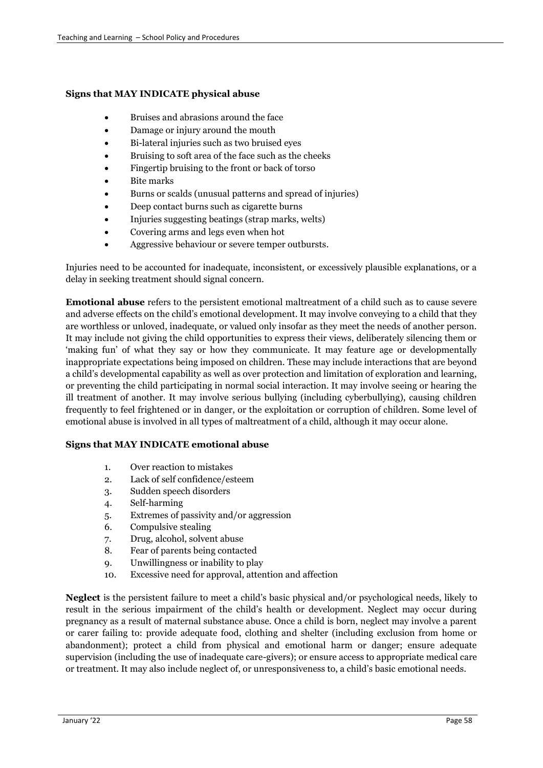#### **Signs that MAY INDICATE physical abuse**

- Bruises and abrasions around the face
- Damage or injury around the mouth
- Bi-lateral injuries such as two bruised eyes
- Bruising to soft area of the face such as the cheeks
- Fingertip bruising to the front or back of torso
- Bite marks
- Burns or scalds (unusual patterns and spread of injuries)
- Deep contact burns such as cigarette burns
- Injuries suggesting beatings (strap marks, welts)
- Covering arms and legs even when hot
- Aggressive behaviour or severe temper outbursts.

Injuries need to be accounted for inadequate, inconsistent, or excessively plausible explanations, or a delay in seeking treatment should signal concern.

**Emotional abuse** refers to the persistent emotional maltreatment of a child such as to cause severe and adverse effects on the child's emotional development. It may involve conveying to a child that they are worthless or unloved, inadequate, or valued only insofar as they meet the needs of another person. It may include not giving the child opportunities to express their views, deliberately silencing them or 'making fun' of what they say or how they communicate. It may feature age or developmentally inappropriate expectations being imposed on children. These may include interactions that are beyond a child's developmental capability as well as over protection and limitation of exploration and learning, or preventing the child participating in normal social interaction. It may involve seeing or hearing the ill treatment of another. It may involve serious bullying (including cyberbullying), causing children frequently to feel frightened or in danger, or the exploitation or corruption of children. Some level of emotional abuse is involved in all types of maltreatment of a child, although it may occur alone.

### **Signs that MAY INDICATE emotional abuse**

- 1. Over reaction to mistakes
- 2. Lack of self confidence/esteem
- 3. Sudden speech disorders
- 4. Self-harming
- 5. Extremes of passivity and/or aggression
- 6. Compulsive stealing
- 7. Drug, alcohol, solvent abuse
- 8. Fear of parents being contacted
- 9. Unwillingness or inability to play
- 10. Excessive need for approval, attention and affection

**Neglect** is the persistent failure to meet a child's basic physical and/or psychological needs, likely to result in the serious impairment of the child's health or development. Neglect may occur during pregnancy as a result of maternal substance abuse. Once a child is born, neglect may involve a parent or carer failing to: provide adequate food, clothing and shelter (including exclusion from home or abandonment); protect a child from physical and emotional harm or danger; ensure adequate supervision (including the use of inadequate care-givers); or ensure access to appropriate medical care or treatment. It may also include neglect of, or unresponsiveness to, a child's basic emotional needs.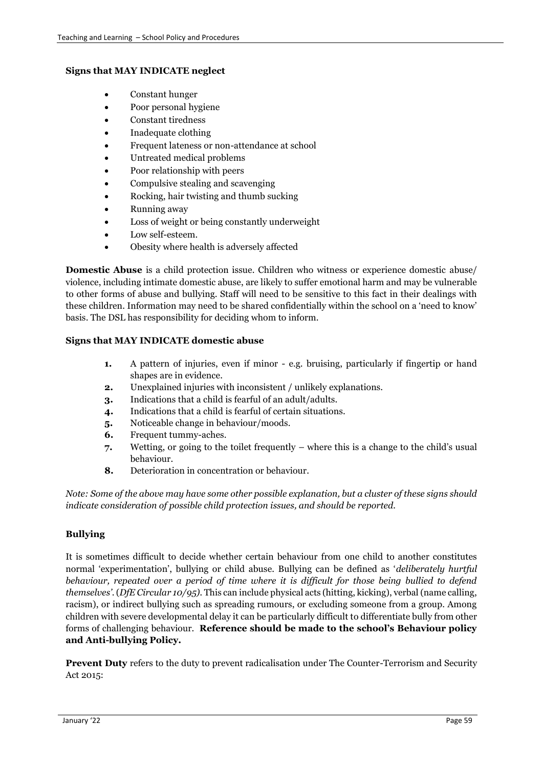### **Signs that MAY INDICATE neglect**

- Constant hunger
- Poor personal hygiene
- Constant tiredness
- Inadequate clothing
- Frequent lateness or non-attendance at school
- Untreated medical problems
- Poor relationship with peers
- Compulsive stealing and scavenging
- Rocking, hair twisting and thumb sucking
- Running away
- Loss of weight or being constantly underweight
- Low self-esteem.
- Obesity where health is adversely affected

**Domestic Abuse** is a child protection issue. Children who witness or experience domestic abuse/ violence, including intimate domestic abuse, are likely to suffer emotional harm and may be vulnerable to other forms of abuse and bullying. Staff will need to be sensitive to this fact in their dealings with these children. Information may need to be shared confidentially within the school on a 'need to know' basis. The DSL has responsibility for deciding whom to inform.

### **Signs that MAY INDICATE domestic abuse**

- **1.** A pattern of injuries, even if minor e.g. bruising, particularly if fingertip or hand shapes are in evidence.
- **2.** Unexplained injuries with inconsistent / unlikely explanations.
- **3.** Indications that a child is fearful of an adult/adults.
- **4.** Indications that a child is fearful of certain situations.
- **5.** Noticeable change in behaviour/moods.
- **6.** Frequent tummy-aches.
- **7.** Wetting, or going to the toilet frequently where this is a change to the child's usual behaviour.
- **8.** Deterioration in concentration or behaviour.

*Note: Some of the above may have some other possible explanation, but a cluster of these signs should indicate consideration of possible child protection issues, and should be reported.* 

### **Bullying**

It is sometimes difficult to decide whether certain behaviour from one child to another constitutes normal 'experimentation', bullying or child abuse. Bullying can be defined as '*deliberately hurtful behaviour, repeated over a period of time where it is difficult for those being bullied to defend themselves'*. (*DfE Circular 10/95).* This can include physical acts (hitting, kicking), verbal (name calling, racism), or indirect bullying such as spreading rumours, or excluding someone from a group. Among children with severe developmental delay it can be particularly difficult to differentiate bully from other forms of challenging behaviour. **Reference should be made to the school's Behaviour policy and Anti-bullying Policy.**

**Prevent Duty** refers to the duty to prevent radicalisation under The Counter-Terrorism and Security Act 2015: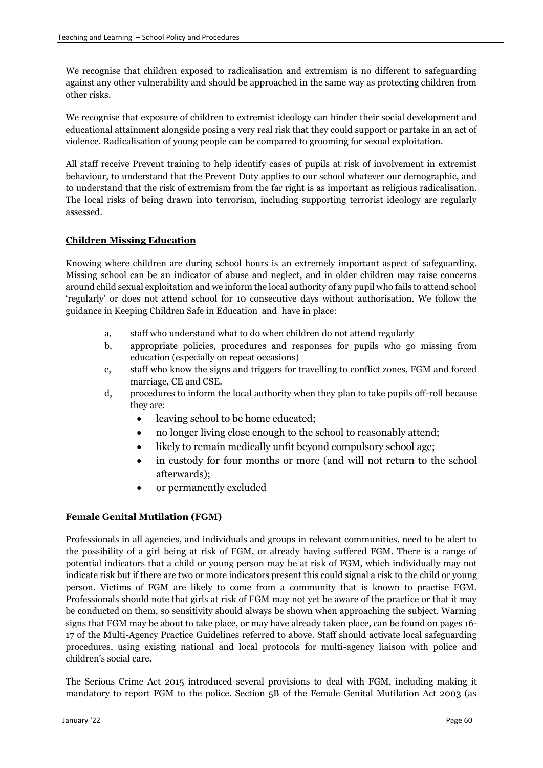We recognise that children exposed to radicalisation and extremism is no different to safeguarding against any other vulnerability and should be approached in the same way as protecting children from other risks.

We recognise that exposure of children to extremist ideology can hinder their social development and educational attainment alongside posing a very real risk that they could support or partake in an act of violence. Radicalisation of young people can be compared to grooming for sexual exploitation.

All staff receive Prevent training to help identify cases of pupils at risk of involvement in extremist behaviour, to understand that the Prevent Duty applies to our school whatever our demographic, and to understand that the risk of extremism from the far right is as important as religious radicalisation. The local risks of being drawn into terrorism, including supporting terrorist ideology are regularly assessed.

# **Children Missing Education**

Knowing where children are during school hours is an extremely important aspect of safeguarding. Missing school can be an indicator of abuse and neglect, and in older children may raise concerns around child sexual exploitation and we inform the local authority of any pupil who fails to attend school 'regularly' or does not attend school for 10 consecutive days without authorisation. We follow the guidance in Keeping Children Safe in Education and have in place:

- a, staff who understand what to do when children do not attend regularly
- b, appropriate policies, procedures and responses for pupils who go missing from education (especially on repeat occasions)
- c, staff who know the signs and triggers for travelling to conflict zones, FGM and forced marriage, CE and CSE.
- d, procedures to inform the local authority when they plan to take pupils off-roll because they are:
	- leaving school to be home educated;
	- no longer living close enough to the school to reasonably attend;
	- likely to remain medically unfit beyond compulsory school age;
	- in custody for four months or more (and will not return to the school afterwards);
	- or permanently excluded

# **Female Genital Mutilation (FGM)**

Professionals in all agencies, and individuals and groups in relevant communities, need to be alert to the possibility of a girl being at risk of FGM, or already having suffered FGM. There is a range of potential indicators that a child or young person may be at risk of FGM, which individually may not indicate risk but if there are two or more indicators present this could signal a risk to the child or young person. Victims of FGM are likely to come from a community that is known to practise FGM. Professionals should note that girls at risk of FGM may not yet be aware of the practice or that it may be conducted on them, so sensitivity should always be shown when approaching the subject. Warning signs that FGM may be about to take place, or may have already taken place, can be found on pages 16- 17 of the Multi-Agency Practice Guidelines referred to above. Staff should activate local safeguarding procedures, using existing national and local protocols for multi-agency liaison with police and children's social care.

The Serious Crime Act 2015 introduced several provisions to deal with FGM, including making it mandatory to report FGM to the police. Section 5B of the Female Genital Mutilation Act 2003 (as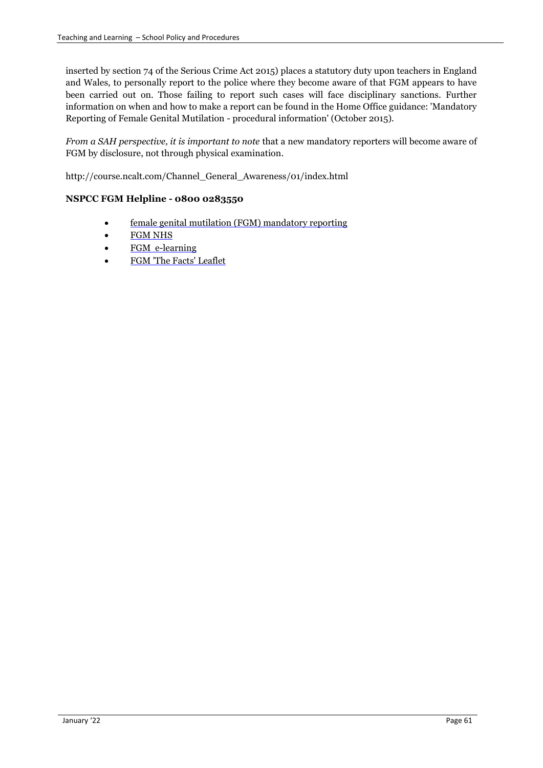inserted by section 74 of the Serious Crime Act 2015) places a statutory duty upon teachers in England and Wales, to personally report to the police where they become aware of that FGM appears to have been carried out on. Those failing to report such cases will face disciplinary sanctions. Further information on when and how to make a report can be found in the Home Office guidance: 'Mandatory Reporting of Female Genital Mutilation - procedural information' (October 2015).

*From a SAH perspective, it is important to note* that a new mandatory reporters will become aware of FGM by disclosure, not through physical examination.

http://course.ncalt.com/Channel\_General\_Awareness/01/index.html

# **NSPCC FGM Helpline - 0800 0283550**

- [female genital mutilation \(FGM\) mandatory reporting](https://www.gov.uk/government/publications/mandatory-reporting-of-female-genital-mutilation-procedural-information)
- [FGM NHS](http://www.nhs.uk/conditions/female-genital-mutilation/pages/introduction.aspx)
- [FGM e-learning](http://www.e-lfh.org.uk/programmes/female-genital-mutilation/)
- [FGM 'The Facts' Leaflet](https://www.gov.uk/government/uploads/system/uploads/attachment_data/file/300167/FGM_leaflet_v4.pdf)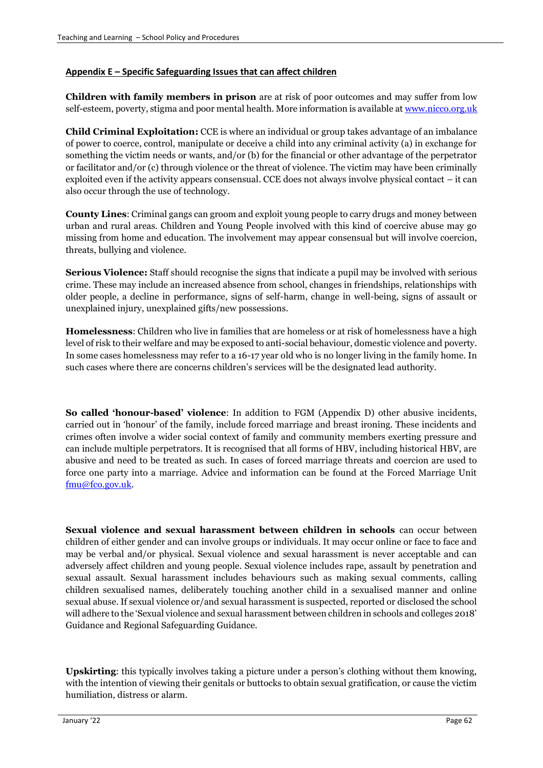### **Appendix E – Specific Safeguarding Issues that can affect children**

**Children with family members in prison** are at risk of poor outcomes and may suffer from low self-esteem, poverty, stigma and poor mental health. More information is available at [www.nicco.org.uk](http://www.nicco.org.uk/)

**Child Criminal Exploitation:** CCE is where an individual or group takes advantage of an imbalance of power to coerce, control, manipulate or deceive a child into any criminal activity (a) in exchange for something the victim needs or wants, and/or (b) for the financial or other advantage of the perpetrator or facilitator and/or (c) through violence or the threat of violence. The victim may have been criminally exploited even if the activity appears consensual. CCE does not always involve physical contact – it can also occur through the use of technology.

**County Lines**: Criminal gangs can groom and exploit young people to carry drugs and money between urban and rural areas. Children and Young People involved with this kind of coercive abuse may go missing from home and education. The involvement may appear consensual but will involve coercion, threats, bullying and violence.

**Serious Violence:** Staff should recognise the signs that indicate a pupil may be involved with serious crime. These may include an increased absence from school, changes in friendships, relationships with older people, a decline in performance, signs of self-harm, change in well-being, signs of assault or unexplained injury, unexplained gifts/new possessions.

**Homelessness**: Children who live in families that are homeless or at risk of homelessness have a high level of risk to their welfare and may be exposed to anti-social behaviour, domestic violence and poverty. In some cases homelessness may refer to a 16-17 year old who is no longer living in the family home. In such cases where there are concerns children's services will be the designated lead authority.

**So called 'honour-based' violence**: In addition to FGM (Appendix D) other abusive incidents, carried out in 'honour' of the family, include forced marriage and breast ironing. These incidents and crimes often involve a wider social context of family and community members exerting pressure and can include multiple perpetrators. It is recognised that all forms of HBV, including historical HBV, are abusive and need to be treated as such. In cases of forced marriage threats and coercion are used to force one party into a marriage. Advice and information can be found at the Forced Marriage Unit [fmu@fco.gov.uk.](mailto:fmu@fco.gov.uk)

**Sexual violence and sexual harassment between children in schools** can occur between children of either gender and can involve groups or individuals. It may occur online or face to face and may be verbal and/or physical. Sexual violence and sexual harassment is never acceptable and can adversely affect children and young people. Sexual violence includes rape, assault by penetration and sexual assault. Sexual harassment includes behaviours such as making sexual comments, calling children sexualised names, deliberately touching another child in a sexualised manner and online sexual abuse. If sexual violence or/and sexual harassment is suspected, reported or disclosed the school will adhere to the 'Sexual violence and sexual harassment between children in schools and colleges 2018' Guidance and Regional Safeguarding Guidance.

**Upskirting**: this typically involves taking a picture under a person's clothing without them knowing, with the intention of viewing their genitals or buttocks to obtain sexual gratification, or cause the victim humiliation, distress or alarm.